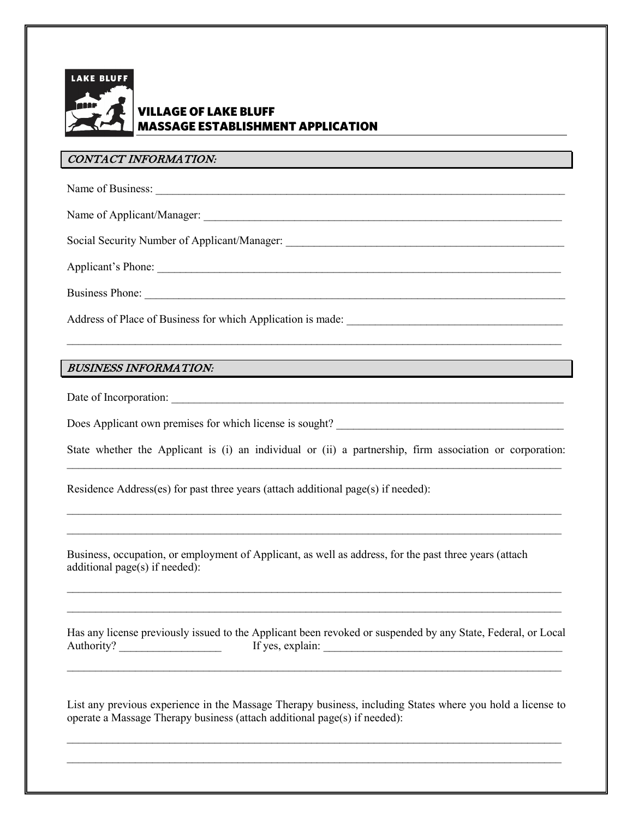

## VILLAGE OF LAKE BLUFF MASSAGE ESTABLISHMENT APPLICATION

### CONTACT INFORMATION:

Name of Business:

Name of Applicant/Manager: \_\_\_\_\_\_\_\_\_\_\_\_\_\_\_\_\_\_\_\_\_\_\_\_\_\_\_\_\_\_\_\_\_\_\_\_\_\_\_\_\_\_\_\_\_\_\_\_\_\_\_\_\_\_\_\_\_\_\_\_\_\_\_

Social Security Number of Applicant/Manager: \_\_\_\_\_\_\_\_\_\_\_\_\_\_\_\_\_\_\_\_\_\_\_\_\_\_\_\_\_\_\_\_\_\_\_\_\_\_\_\_\_\_\_\_\_\_\_\_\_

Applicant's Phone:

Business Phone:

Address of Place of Business for which Application is made: \_\_\_\_\_\_\_\_\_\_\_\_\_\_\_\_\_\_\_\_\_\_\_\_\_\_\_\_\_\_\_\_\_\_\_\_\_\_

#### BUSINESS INFORMATION:

Date of Incorporation: \_\_\_\_\_\_\_\_\_\_\_\_\_\_\_\_\_\_\_\_\_\_\_\_\_\_\_\_\_\_\_\_\_\_\_\_\_\_\_\_\_\_\_\_\_\_\_\_\_\_\_\_\_\_\_\_\_\_\_\_\_\_\_\_\_\_\_\_\_

Does Applicant own premises for which license is sought?

State whether the Applicant is (i) an individual or (ii) a partnership, firm association or corporation:  $\_$  , and the set of the set of the set of the set of the set of the set of the set of the set of the set of the set of the set of the set of the set of the set of the set of the set of the set of the set of the set of th

 $\_$  , and the set of the set of the set of the set of the set of the set of the set of the set of the set of the set of the set of the set of the set of the set of the set of the set of the set of the set of the set of th \_\_\_\_\_\_\_\_\_\_\_\_\_\_\_\_\_\_\_\_\_\_\_\_\_\_\_\_\_\_\_\_\_\_\_\_\_\_\_\_\_\_\_\_\_\_\_\_\_\_\_\_\_\_\_\_\_\_\_\_\_\_\_\_\_\_\_\_\_\_\_\_\_\_\_\_\_\_\_\_\_\_\_\_\_\_\_

 $\_$  , and the set of the set of the set of the set of the set of the set of the set of the set of the set of the set of the set of the set of the set of the set of the set of the set of the set of the set of the set of th

Residence Address(es) for past three years (attach additional page(s) if needed):

Business, occupation, or employment of Applicant, as well as address, for the past three years (attach additional page(s) if needed):

|            | Has any license previously issued to the Applicant been revoked or suspended by any State, Federal, or Local |  |
|------------|--------------------------------------------------------------------------------------------------------------|--|
| Authority? | If yes, explain:                                                                                             |  |

 $\_$  , and the set of the set of the set of the set of the set of the set of the set of the set of the set of the set of the set of the set of the set of the set of the set of the set of the set of the set of the set of th

 $\_$  , and the set of the set of the set of the set of the set of the set of the set of the set of the set of the set of the set of the set of the set of the set of the set of the set of the set of the set of the set of th  $\_$  , and the set of the set of the set of the set of the set of the set of the set of the set of the set of the set of the set of the set of the set of the set of the set of the set of the set of the set of the set of th

List any previous experience in the Massage Therapy business, including States where you hold a license to operate a Massage Therapy business (attach additional page(s) if needed):

 $\_$  , and the set of the set of the set of the set of the set of the set of the set of the set of the set of the set of the set of the set of the set of the set of the set of the set of the set of the set of the set of th  $\_$  , and the set of the set of the set of the set of the set of the set of the set of the set of the set of the set of the set of the set of the set of the set of the set of the set of the set of the set of the set of th